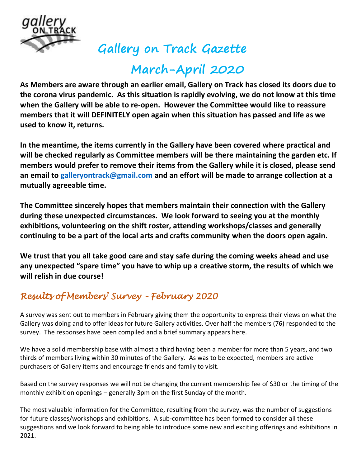

## **Gallery on Track Gazette**

## **March-April 2020**

**As Members are aware through an earlier email, Gallery on Track has closed its doors due to the corona virus pandemic. As this situation is rapidly evolving, we do not know at this time when the Gallery will be able to re-open. However the Committee would like to reassure members that it will DEFINITELY open again when this situation has passed and life as we used to know it, returns.**

**In the meantime, the items currently in the Gallery have been covered where practical and will be checked regularly as Committee members will be there maintaining the garden etc. If members would prefer to remove their items from the Gallery while it is closed, please send an email to [galleryontrack@gmail.com](mailto:galleryontrack@gmail.com) and an effort will be made to arrange collection at a mutually agreeable time.**

**The Committee sincerely hopes that members maintain their connection with the Gallery during these unexpected circumstances. We look forward to seeing you at the monthly exhibitions, volunteering on the shift roster, attending workshops/classes and generally continuing to be a part of the local arts and crafts community when the doors open again.**

**We trust that you all take good care and stay safe during the coming weeks ahead and use any unexpected "spare time" you have to whip up a creative storm, the results of which we will relish in due course!**

## *Results of Members' Survey – February 2020*

A survey was sent out to members in February giving them the opportunity to express their views on what the Gallery was doing and to offer ideas for future Gallery activities. Over half the members (76) responded to the survey. The responses have been compiled and a brief summary appears here.

We have a solid membership base with almost a third having been a member for more than 5 years, and two thirds of members living within 30 minutes of the Gallery. As was to be expected, members are active purchasers of Gallery items and encourage friends and family to visit.

Based on the survey responses we will not be changing the current membership fee of \$30 or the timing of the monthly exhibition openings – generally 3pm on the first Sunday of the month.

The most valuable information for the Committee, resulting from the survey, was the number of suggestions for future classes/workshops and exhibitions. A sub-committee has been formed to consider all these suggestions and we look forward to being able to introduce some new and exciting offerings and exhibitions in 2021.